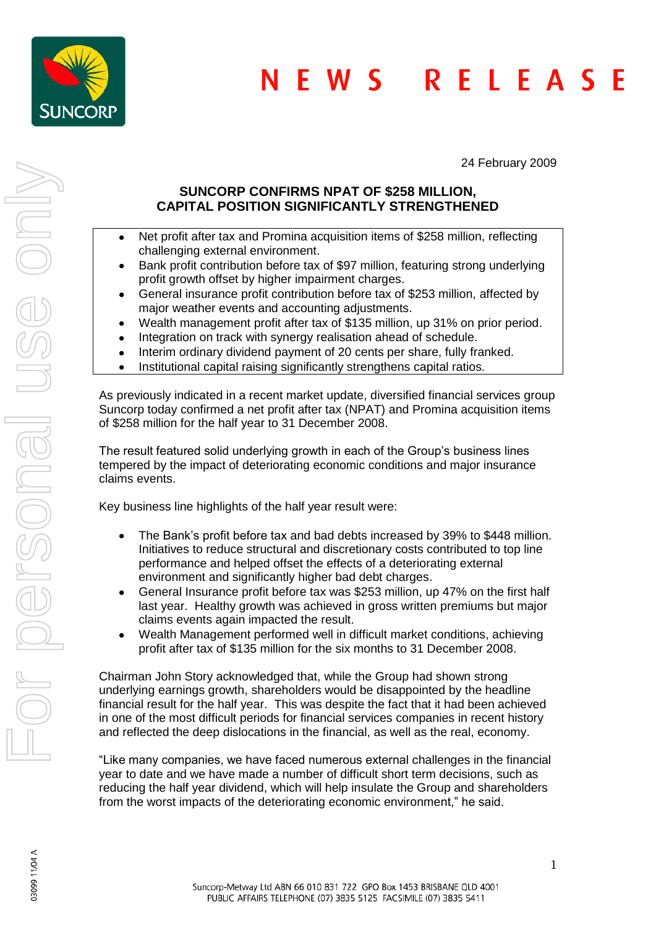

24 February 2009

# **SUNCORP CONFIRMS NPAT OF \$258 MILLION, CAPITAL POSITION SIGNIFICANTLY STRENGTHENED**

- Net profit after tax and Promina acquisition items of \$258 million, reflecting  $\bullet$ challenging external environment.
- Bank profit contribution before tax of \$97 million, featuring strong underlying  $\bullet$ profit growth offset by higher impairment charges.
- General insurance profit contribution before tax of \$253 million, affected by major weather events and accounting adjustments.
- Wealth management profit after tax of \$135 million, up 31% on prior period.  $\bullet$
- Integration on track with synergy realisation ahead of schedule.  $\bullet$
- Interim ordinary dividend payment of 20 cents per share, fully franked.
- Institutional capital raising significantly strengthens capital ratios.  $\bullet$

As previously indicated in a recent market update, diversified financial services group Suncorp today confirmed a net profit after tax (NPAT) and Promina acquisition items of \$258 million for the half year to 31 December 2008.

The result featured solid underlying growth in each of the Group's business lines tempered by the impact of deteriorating economic conditions and major insurance claims events.

Key business line highlights of the half year result were:

- The Bank's profit before tax and bad debts increased by 39% to \$448 million.  $\bullet$ Initiatives to reduce structural and discretionary costs contributed to top line performance and helped offset the effects of a deteriorating external environment and significantly higher bad debt charges.
- General Insurance profit before tax was \$253 million, up 47% on the first half  $\bullet$ last year. Healthy growth was achieved in gross written premiums but major claims events again impacted the result.
- Wealth Management performed well in difficult market conditions, achieving  $\bullet$ profit after tax of \$135 million for the six months to 31 December 2008.

Chairman John Story acknowledged that, while the Group had shown strong underlying earnings growth, shareholders would be disappointed by the headline financial result for the half year. This was despite the fact that it had been achieved in one of the most difficult periods for financial services companies in recent history and reflected the deep dislocations in the financial, as well as the real, economy.

"Like many companies, we have faced numerous external challenges in the financial year to date and we have made a number of difficult short term decisions, such as reducing the half year dividend, which will help insulate the Group and shareholders from the worst impacts of the deteriorating economic environment," he said.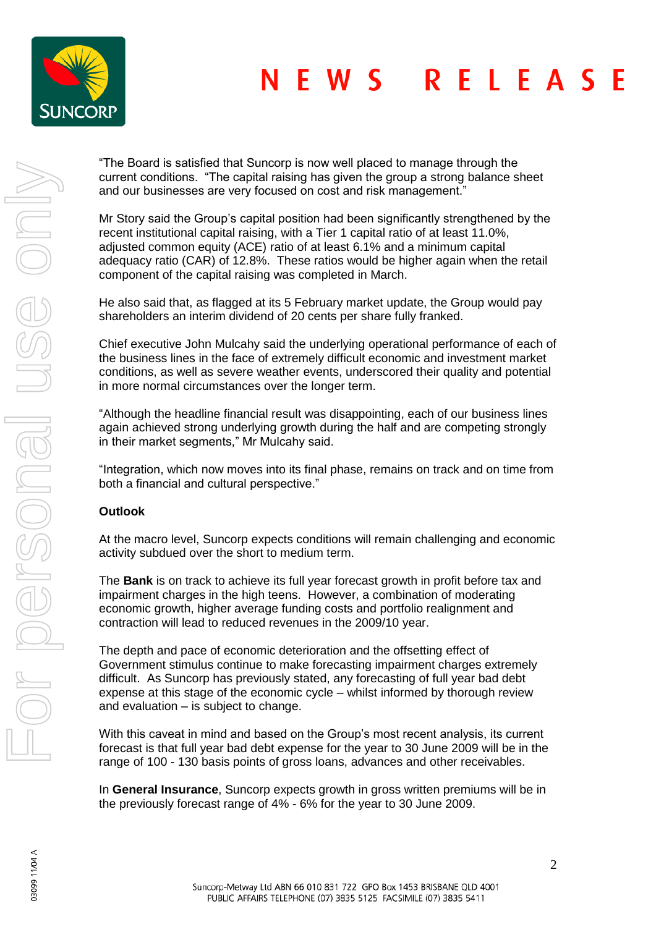

#### **NEWS** RELEAS F

"The Board is satisfied that Suncorp is now well placed to manage through the current conditions. "The capital raising has given the group a strong balance sheet and our businesses are very focused on cost and risk management."

Mr Story said the Group's capital position had been significantly strengthened by the recent institutional capital raising, with a Tier 1 capital ratio of at least 11.0%, adjusted common equity (ACE) ratio of at least 6.1% and a minimum capital adequacy ratio (CAR) of 12.8%. These ratios would be higher again when the retail component of the capital raising was completed in March.

He also said that, as flagged at its 5 February market update, the Group would pay shareholders an interim dividend of 20 cents per share fully franked.

Chief executive John Mulcahy said the underlying operational performance of each of the business lines in the face of extremely difficult economic and investment market conditions, as well as severe weather events, underscored their quality and potential in more normal circumstances over the longer term.

"Although the headline financial result was disappointing, each of our business lines again achieved strong underlying growth during the half and are competing strongly in their market segments," Mr Mulcahy said.

"Integration, which now moves into its final phase, remains on track and on time from both a financial and cultural perspective."

### **Outlook**

At the macro level, Suncorp expects conditions will remain challenging and economic activity subdued over the short to medium term.

The **Bank** is on track to achieve its full year forecast growth in profit before tax and impairment charges in the high teens. However, a combination of moderating economic growth, higher average funding costs and portfolio realignment and contraction will lead to reduced revenues in the 2009/10 year.

The depth and pace of economic deterioration and the offsetting effect of Government stimulus continue to make forecasting impairment charges extremely difficult. As Suncorp has previously stated, any forecasting of full year bad debt expense at this stage of the economic cycle – whilst informed by thorough review and evaluation – is subject to change.

With this caveat in mind and based on the Group's most recent analysis, its current forecast is that full year bad debt expense for the year to 30 June 2009 will be in the range of 100 - 130 basis points of gross loans, advances and other receivables.

In **General Insurance**, Suncorp expects growth in gross written premiums will be in the previously forecast range of 4% - 6% for the year to 30 June 2009.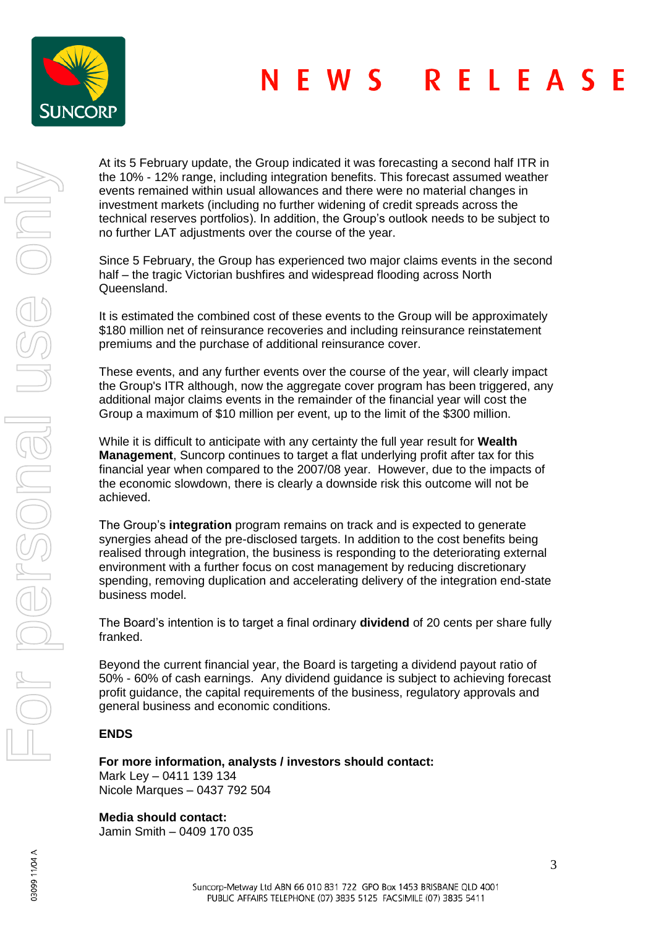

#### **NEWS** RELEAS F

At its 5 February update, the Group indicated it was forecasting a second half ITR in the 10% - 12% range, including integration benefits. This forecast assumed weather events remained within usual allowances and there were no material changes in investment markets (including no further widening of credit spreads across the technical reserves portfolios). In addition, the Group's outlook needs to be subject to no further LAT adjustments over the course of the year.

Since 5 February, the Group has experienced two major claims events in the second half – the tragic Victorian bushfires and widespread flooding across North Queensland.

It is estimated the combined cost of these events to the Group will be approximately \$180 million net of reinsurance recoveries and including reinsurance reinstatement premiums and the purchase of additional reinsurance cover.

These events, and any further events over the course of the year, will clearly impact the Group's ITR although, now the aggregate cover program has been triggered, any additional major claims events in the remainder of the financial year will cost the Group a maximum of \$10 million per event, up to the limit of the \$300 million.

While it is difficult to anticipate with any certainty the full year result for **Wealth Management**, Suncorp continues to target a flat underlying profit after tax for this financial year when compared to the 2007/08 year. However, due to the impacts of the economic slowdown, there is clearly a downside risk this outcome will not be achieved.

The Group's **integration** program remains on track and is expected to generate synergies ahead of the pre-disclosed targets. In addition to the cost benefits being realised through integration, the business is responding to the deteriorating external environment with a further focus on cost management by reducing discretionary spending, removing duplication and accelerating delivery of the integration end-state business model.

The Board's intention is to target a final ordinary **dividend** of 20 cents per share fully franked.

Beyond the current financial year, the Board is targeting a dividend payout ratio of 50% - 60% of cash earnings. Any dividend guidance is subject to achieving forecast profit guidance, the capital requirements of the business, regulatory approvals and general business and economic conditions.

# **ENDS**

**For more information, analysts / investors should contact:**

Mark Ley – 0411 139 134 Nicole Marques – 0437 792 504

**Media should contact:** Jamin Smith – 0409 170 035

03099 11/04 A